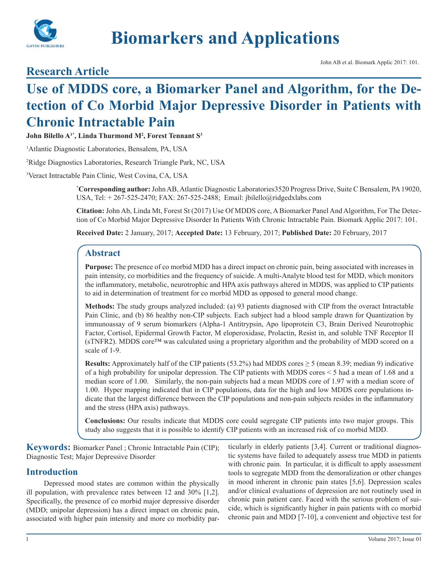

# **Biomarkers and Applications**

### **Research Article**

## **Use of MDDS core, a Biomarker Panel and Algorithm, for the Detection of Co Morbid Major Depressive Disorder in Patients with Chronic Intractable Pain**

**John Bilello A1\*, Linda Thurmond M2 , Forest Tennant S3**

1 Atlantic Diagnostic Laboratories, Bensalem, PA, USA

2 Ridge Diagnostics Laboratories, Research Triangle Park, NC, USA

3 Veract Intractable Pain Clinic, West Covina, CA, USA

**\* Corresponding author:** John AB, Atlantic Diagnostic Laboratories3520 Progress Drive, Suite C Bensalem, PA 19020, USA, Tel: + 267-525-2470; FAX: 267-525-2488; Email: jbilello@ridgedxlabs.com

**Citation:** John Ab, Linda Mt, Forest St (2017) Use Of MDDS core, A Biomarker Panel And Algorithm, For The Detection of Co Morbid Major Depressive Disorder In Patients With Chronic Intractable Pain. Biomark Applic 2017: 101.

**Received Date:** 2 January, 2017; **Accepted Date:** 13 February, 2017; **Published Date:** 20 February, 2017

#### **Abstract**

**Purpose:** The presence of co morbid MDD has a direct impact on chronic pain, being associated with increases in pain intensity, co morbidities and the frequency of suicide. A multi-Analyte blood test for MDD, which monitors the inflammatory, metabolic, neurotrophic and HPA axis pathways altered in MDDS, was applied to CIP patients to aid in determination of treatment for co morbid MDD as opposed to general mood change.

**Methods:** The study groups analyzed included: (a) 93 patients diagnosed with CIP from the overact Intractable Pain Clinic, and (b) 86 healthy non-CIP subjects. Each subject had a blood sample drawn for Quantization by immunoassay of 9 serum biomarkers (Alpha-1 Antitrypsin, Apo lipoprotein C3, Brain Derived Neurotrophic Factor, Cortisol, Epidermal Growth Factor, M eloperoxidase, Prolactin, Resist in, and soluble TNF Receptor II (sTNFR2). MDDS core™ was calculated using a proprietary algorithm and the probability of MDD scored on a scale of 1-9.

**Results:** Approximately half of the CIP patients (53.2%) had MDDS cores  $\geq$  5 (mean 8.39; median 9) indicative of a high probability for unipolar depression. The CIP patients with MDDS cores < 5 had a mean of 1.68 and a median score of 1.00. Similarly, the non-pain subjects had a mean MDDS core of 1.97 with a median score of 1.00. Hyper mapping indicated that in CIP populations, data for the high and low MDDS core populations indicate that the largest difference between the CIP populations and non-pain subjects resides in the inflammatory and the stress (HPA axis) pathways.

**Conclusions:** Our results indicate that MDDS core could segregate CIP patients into two major groups. This study also suggests that it is possible to identify CIP patients with an increased risk of co morbid MDD.

**Keywords:** Biomarker Panel ; Chronic Intractable Pain (CIP); Diagnostic Test; Major Depressive Disorder

#### **Introduction**

Depressed mood states are common within the physically ill population, with prevalence rates between 12 and 30% [1,2]. Specifically, the presence of co morbid major depressive disorder (MDD; unipolar depression) has a direct impact on chronic pain, associated with higher pain intensity and more co morbidity particularly in elderly patients [3,4]. Current or traditional diagnostic systems have failed to adequately assess true MDD in patients with chronic pain. In particular, it is difficult to apply assessment tools to segregate MDD from the demoralization or other changes in mood inherent in chronic pain states [5,6]. Depression scales and/or clinical evaluations of depression are not routinely used in chronic pain patient care. Faced with the serious problem of suicide, which is significantly higher in pain patients with co morbid chronic pain and MDD [7-10], a convenient and objective test for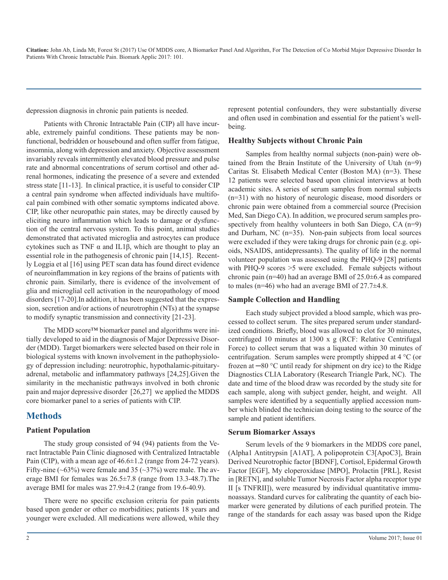depression diagnosis in chronic pain patients is needed.

Patients with Chronic Intractable Pain (CIP) all have incurable, extremely painful conditions. These patients may be nonfunctional, bedridden or housebound and often suffer from fatigue, insomnia, along with depression and anxiety. Objective assessment invariably reveals intermittently elevated blood pressure and pulse rate and abnormal concentrations of serum cortisol and other adrenal hormones, indicating the presence of a severe and extended stress state [11-13]. In clinical practice, it is useful to consider CIP a central pain syndrome when affected individuals have multifocal pain combined with other somatic symptoms indicated above. CIP, like other neuropathic pain states, may be directly caused by eliciting neuro inflammation which leads to damage or dysfunction of the central nervous system. To this point, animal studies demonstrated that activated microglia and astrocytes can produce cytokines such as TNF α and IL1β, which are thought to play an essential role in the pathogenesis of chronic pain [14,15]. Recently Loggia et al [16] using PET scan data has found direct evidence of neuroinflammation in key regions of the brains of patients with chronic pain. Similarly, there is evidence of the involvement of glia and microglial cell activation in the neuropathology of mood disorders [17-20].In addition, it has been suggested that the expression, secretion and/or actions of neurotrophin (NTs) at the synapse to modify synaptic transmission and connectivity [21-23].

The MDD score™ biomarker panel and algorithms were initially developed to aid in the diagnosis of Major Depressive Disorder (MDD). Target biomarkers were selected based on their role in biological systems with known involvement in the pathophysiology of depression including: neurotrophic, hypothalamic-pituitaryadrenal, metabolic and inflammatory pathways [24,25].Given the similarity in the mechanistic pathways involved in both chronic pain and major depressive disorder [26,27] we applied the MDDS core biomarker panel to a series of patients with CIP.

#### **Methods**

#### **Patient Population**

The study group consisted of 94 (94) patients from the Veract Intractable Pain Clinic diagnosed with Centralized Intractable Pain (CIP), with a mean age of  $46.6 \pm 1.2$  (range from 24-72 years). Fifty-nine ( $\sim$ 63%) were female and 35 ( $\sim$ 37%) were male. The average BMI for females was 26.5±7.8 (range from 13.3-48.7).The average BMI for males was 27.9±4.2 (range from 19.6-40.9).

There were no specific exclusion criteria for pain patients based upon gender or other co morbidities; patients 18 years and younger were excluded. All medications were allowed, while they

represent potential confounders, they were substantially diverse and often used in combination and essential for the patient's wellbeing.

#### **Healthy Subjects without Chronic Pain**

Samples from healthy normal subjects (non-pain) were obtained from the Brain Institute of the University of Utah (n=9) Caritas St. Elisabeth Medical Center (Boston MA) (n=3). These 12 patients were selected based upon clinical interviews at both academic sites. A series of serum samples from normal subjects (n=31) with no history of neurologic disease, mood disorders or chronic pain were obtained from a commercial source (Precision Med, San Diego CA). In addition, we procured serum samples prospectively from healthy volunteers in both San Diego, CA (n=9) and Durham, NC (n=35). Non-pain subjects from local sources were excluded if they were taking drugs for chronic pain (e.g. opioids, NSAIDS, antidepressants). The quality of life in the normal volunteer population was assessed using the PHQ-9 [28] patients with PHQ-9 scores  $>5$  were excluded. Female subjects without chronic pain (n=40) had an average BMI of 25.0±6.4 as compared to males (n=46) who had an average BMI of 27.7±4.8.

#### **Sample Collection and Handling**

Each study subject provided a blood sample, which was processed to collect serum. The sites prepared serum under standardized conditions. Briefly, blood was allowed to clot for 30 minutes, centrifuged 10 minutes at 1300 x g (RCF: Relative Centrifugal Force) to collect serum that was a liquated within 30 minutes of centrifugation. Serum samples were promptly shipped at 4 °C (or frozen at ─80 °C until ready for shipment on dry ice) to the Ridge Diagnostics CLIA Laboratory (Research Triangle Park, NC). The date and time of the blood draw was recorded by the study site for each sample, along with subject gender, height, and weight. All samples were identified by a sequentially applied accession number which blinded the technician doing testing to the source of the sample and patient identifiers.

#### **Serum Biomarker Assays**

Serum levels of the 9 biomarkers in the MDDS core panel, (Alpha1 Antitrypsin [A1AT], A polipoprotein C3[ApoC3], Brain Derived Neurotrophic factor [BDNF], Cortisol, Epidermal Growth Factor [EGF], My eloperoxidase [MPO], Prolactin [PRL], Resist in [RETN], and soluble Tumor Necrosis Factor alpha receptor type II [s TNFRII]), were measured by individual quantitative immunoassays. Standard curves for calibrating the quantity of each biomarker were generated by dilutions of each purified protein. The range of the standards for each assay was based upon the Ridge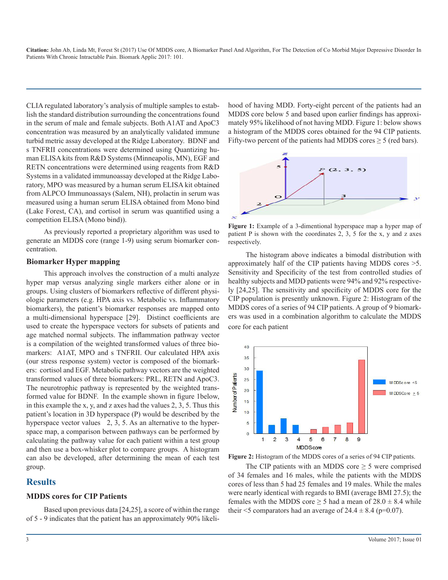CLIA regulated laboratory's analysis of multiple samples to establish the standard distribution surrounding the concentrations found in the serum of male and female subjects. Both A1AT and ApoC3 concentration was measured by an analytically validated immune turbid metric assay developed at the Ridge Laboratory. BDNF and s TNFRII concentrations were determined using Quantizing human ELISA kits from R&D Systems (Minneapolis, MN), EGF and RETN concentrations were determined using reagents from R&D Systems in a validated immunoassay developed at the Ridge Laboratory, MPO was measured by a human serum ELISA kit obtained from ALPCO Immunoassays (Salem, NH), prolactin in serum was measured using a human serum ELISA obtained from Mono bind (Lake Forest, CA), and cortisol in serum was quantified using a competition ELISA (Mono bind)).

As previously reported a proprietary algorithm was used to generate an MDDS core (range 1-9) using serum biomarker concentration.

#### **Biomarker Hyper mapping**

This approach involves the construction of a multi analyze hyper map versus analyzing single markers either alone or in groups. Using clusters of biomarkers reflective of different physiologic parameters (e.g. HPA axis vs. Metabolic vs. Inflammatory biomarkers), the patient's biomarker responses are mapped onto a multi-dimensional hyperspace [29]. Distinct coefficients are used to create the hyperspace vectors for subsets of patients and age matched normal subjects. The inflammation pathway vector is a compilation of the weighted transformed values of three biomarkers: A1AT, MPO and s TNFRII. Our calculated HPA axis (our stress response system) vector is composed of the biomarkers: cortisol and EGF. Metabolic pathway vectors are the weighted transformed values of three biomarkers: PRL, RETN and ApoC3. The neurotrophic pathway is represented by the weighted transformed value for BDNF. In the example shown in figure 1below, in this example the x, y, and z axes had the values 2, 3, 5. Thus this patient's location in 3D hyperspace (P) would be described by the hyperspace vector values 2, 3, 5. As an alternative to the hyperspace map, a comparison between pathways can be performed by calculating the pathway value for each patient within a test group and then use a box-whisker plot to compare groups. A histogram can also be developed, after determining the mean of each test group.

#### **Results**

#### **MDDS cores for CIP Patients**

Based upon previous data [24,25], a score of within the range of 5 - 9 indicates that the patient has an approximately 90% likelihood of having MDD. Forty-eight percent of the patients had an MDDS core below 5 and based upon earlier findings has approximately 95% likelihood of not having MDD. Figure 1: below shows a histogram of the MDDS cores obtained for the 94 CIP patients. Fifty-two percent of the patients had MDDS cores  $\geq$  5 (red bars).



**Figure 1:** Example of a 3-dimentional hyperspace map a hyper map of patient P is shown with the coordinates 2, 3, 5 for the x, y and z axes respectively.

The histogram above indicates a bimodal distribution with approximately half of the CIP patients having MDDS cores >5. Sensitivity and Specificity of the test from controlled studies of healthy subjects and MDD patients were 94% and 92% respectively [24,25]. The sensitivity and specificity of MDDS core for the CIP population is presently unknown. Figure 2: Histogram of the MDDS cores of a series of 94 CIP patients. A group of 9 biomarkers was used in a combination algorithm to calculate the MDDS core for each patient





The CIP patients with an MDDS core  $\geq$  5 were comprised of 34 females and 16 males, while the patients with the MDDS cores of less than 5 had 25 females and 19 males. While the males were nearly identical with regards to BMI (average BMI 27.5); the females with the MDDS core  $\geq$  5 had a mean of 28.0  $\pm$  8.4 while their  $\leq$ 5 comparators had an average of 24.4  $\pm$  8.4 (p=0.07).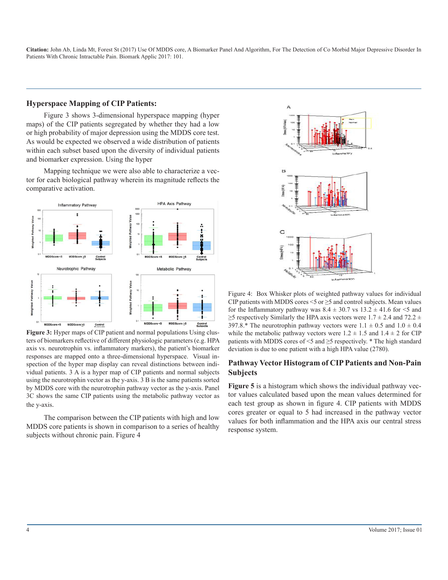#### **Hyperspace Mapping of CIP Patients:**

Figure 3 shows 3-dimensional hyperspace mapping (hyper maps) of the CIP patients segregated by whether they had a low or high probability of major depression using the MDDS core test. As would be expected we observed a wide distribution of patients within each subset based upon the diversity of individual patients and biomarker expression. Using the hyper

Mapping technique we were also able to characterize a vector for each biological pathway wherein its magnitude reflects the comparative activation.



**Figure 3:** Hyper maps of CIP patient and normal populations Using clusters of biomarkers reflective of different physiologic parameters (e.g. HPA axis vs. neurotrophin vs. inflammatory markers), the patient's biomarker responses are mapped onto a three-dimensional hyperspace. Visual inspection of the hyper map display can reveal distinctions between individual patients. 3 A is a hyper map of CIP patients and normal subjects using the neurotrophin vector as the y-axis. 3 B is the same patients sorted by MDDS core with the neurotrophin pathway vector as the y-axis. Panel 3C shows the same CIP patients using the metabolic pathway vector as the y-axis.

The comparison between the CIP patients with high and low MDDS core patients is shown in comparison to a series of healthy subjects without chronic pain. Figure 4



Figure 4: Box Whisker plots of weighted pathway values for individual CIP patients with MDDS cores  $\leq$  5 or  $\geq$  5 and control subjects. Mean values for the Inflammatory pathway was  $8.4 \pm 30.7$  vs  $13.2 \pm 41.6$  for  $\leq 5$  and  $\geq$ 5 respectively Similarly the HPA axis vectors were 1.7  $\pm$  2.4 and 72.2  $\pm$ 397.8.\* The neurotrophin pathway vectors were  $1.1 \pm 0.5$  and  $1.0 \pm 0.4$ while the metabolic pathway vectors were  $1.2 \pm 1.5$  and  $1.4 \pm 2$  for CIP patients with MDDS cores of  $\leq$ 5 and  $\geq$ 5 respectively. \* The high standard deviation is due to one patient with a high HPA value (2780).

#### **Pathway Vector Histogram of CIP Patients and Non-Pain Subjects**

**Figure 5** is a histogram which shows the individual pathway vector values calculated based upon the mean values determined for each test group as shown in figure 4. CIP patients with MDDS cores greater or equal to 5 had increased in the pathway vector values for both inflammation and the HPA axis our central stress response system.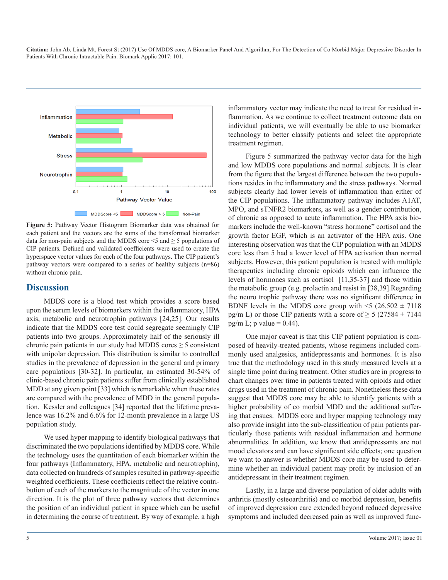

**Figure 5:** Pathway Vector Histogram Biomarker data was obtained for each patient and the vectors are the sums of the transformed biomarker data for non-pain subjects and the MDDS core  $\leq$  5 and  $\geq$  5 populations of CIP patients. Defined and validated coefficients were used to create the hyperspace vector values for each of the four pathways. The CIP patient's pathway vectors were compared to a series of healthy subjects (n=86) without chronic pain.

#### **Discussion**

MDDS core is a blood test which provides a score based upon the serum levels of biomarkers within the inflammatory, HPA axis, metabolic and neurotrophin pathways [24,25]. Our results indicate that the MDDS core test could segregate seemingly CIP patients into two groups. Approximately half of the seriously ill chronic pain patients in our study had MDDS cores  $\geq$  5 consistent with unipolar depression. This distribution is similar to controlled studies in the prevalence of depression in the general and primary care populations [30-32]. In particular, an estimated 30-54% of clinic-based chronic pain patients suffer from clinically established MDD at any given point [33] which is remarkable when these rates are compared with the prevalence of MDD in the general population. Kessler and colleagues [34] reported that the lifetime prevalence was 16.2% and 6.6% for 12-month prevalence in a large US population study.

We used hyper mapping to identify biological pathways that discriminated the two populations identified by MDDS core. While the technology uses the quantitation of each biomarker within the four pathways (Inflammatory, HPA, metabolic and neurotrophin), data collected on hundreds of samples resulted in pathway-specific weighted coefficients. These coefficients reflect the relative contribution of each of the markers to the magnitude of the vector in one direction. It is the plot of three pathway vectors that determines the position of an individual patient in space which can be useful in determining the course of treatment. By way of example, a high

inflammatory vector may indicate the need to treat for residual inflammation. As we continue to collect treatment outcome data on individual patients, we will eventually be able to use biomarker technology to better classify patients and select the appropriate treatment regimen.

Figure 5 summarized the pathway vector data for the high and low MDDS core populations and normal subjects. It is clear from the figure that the largest difference between the two populations resides in the inflammatory and the stress pathways. Normal subjects clearly had lower levels of inflammation than either of the CIP populations. The inflammatory pathway includes A1AT, MPO, and sTNFR2 biomarkers, as well as a gender contribution, of chronic as opposed to acute inflammation. The HPA axis biomarkers include the well-known "stress hormone" cortisol and the growth factor EGF, which is an activator of the HPA axis. One interesting observation was that the CIP population with an MDDS core less than 5 had a lower level of HPA activation than normal subjects. However, this patient population is treated with multiple therapeutics including chronic opioids which can influence the levels of hormones such as cortisol [11,35-37] and those within the metabolic group (e.g. prolactin and resist in [38,39].Regarding the neuro trophic pathway there was no significant difference in BDNF levels in the MDDS core group with  $\leq 5$  (26,502  $\pm$  7118) pg/m L) or those CIP patients with a score of  $\geq$  5 (27584  $\pm$  7144 pg/m L; p value =  $0.44$ ).

One major caveat is that this CIP patient population is composed of heavily-treated patients, whose regimens included commonly used analgesics, antidepressants and hormones. It is also true that the methodology used in this study measured levels at a single time point during treatment. Other studies are in progress to chart changes over time in patients treated with opioids and other drugs used in the treatment of chronic pain. Nonetheless these data suggest that MDDS core may be able to identify patients with a higher probability of co morbid MDD and the additional suffering that ensues. MDDS core and hyper mapping technology may also provide insight into the sub-classification of pain patients particularly those patients with residual inflammation and hormone abnormalities. In addition, we know that antidepressants are not mood elevators and can have significant side effects; one question we want to answer is whether MDDS core may be used to determine whether an individual patient may profit by inclusion of an antidepressant in their treatment regimen.

Lastly, in a large and diverse population of older adults with arthritis (mostly osteoarthritis) and co morbid depression, benefits of improved depression care extended beyond reduced depressive symptoms and included decreased pain as well as improved func-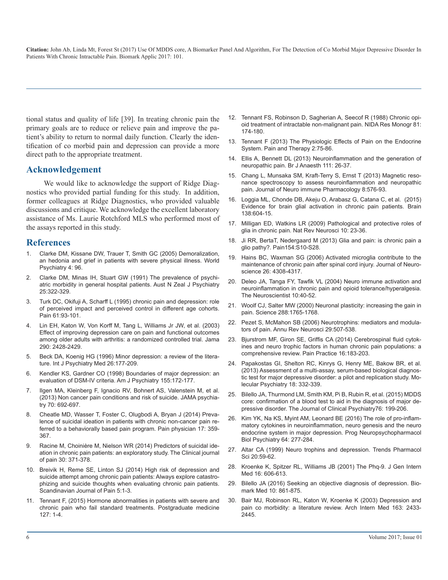tional status and quality of life [39]. In treating chronic pain the primary goals are to reduce or relieve pain and improve the patient's ability to return to normal daily function. Clearly the identification of co morbid pain and depression can provide a more direct path to the appropriate treatment.

#### **Acknowledgement**

We would like to acknowledge the support of Ridge Diagnostics who provided partial funding for this study. In addition, former colleagues at Ridge Diagnostics, who provided valuable discussions and critique. We acknowledge the excellent laboratory assistance of Ms. Laurie Rotchford MLS who performed most of the assays reported in this study.

#### **References**

- 1. [Clarke DM, Kissane DW, Trauer T, Smith GC \(2005\) Demoralization,](https://www.ncbi.nlm.nih.gov/pmc/articles/PMC1414748/)  an hedonia and grief in patients with severe physical illness. World [Psychiatry 4: 96.](https://www.ncbi.nlm.nih.gov/pmc/articles/PMC1414748/)
- 2. [Clarke DM, Minas IH, Stuart GW \(1991\) The prevalence of psychi](https://www.ncbi.nlm.nih.gov/pubmed/1845255)atric morbidity in general hospital patients. Aust N Zeal J Psychiatry [25:322-329.](https://www.ncbi.nlm.nih.gov/pubmed/1845255)
- 3. [Turk DC, Okifuji A, Scharff L \(1995\) chronic pain and depression: role](https://www.ncbi.nlm.nih.gov/pubmed/7644253)  of perceived impact and perceived control in different age cohorts. [Pain 61:93-101.](https://www.ncbi.nlm.nih.gov/pubmed/7644253)
- 4. [Lin EH, Katon W, Von Korff M, Tang L, Williams Jr JW, et al. \(2003\)](https://www.ncbi.nlm.nih.gov/pubmed/14612479) Effect of improving depression care on pain and functional outcomes [among older adults with arthritis: a randomized controlled trial. Jama](https://www.ncbi.nlm.nih.gov/pubmed/14612479)  [290: 2428-2429.](https://www.ncbi.nlm.nih.gov/pubmed/14612479)
- 5. [Beck DA, Koenig HG \(1996\) Minor depression: a review of the litera](http://journals.sagepub.com/doi/pdf/10.2190/AC30-P715-Y4TD-J7D2)ture. Int J Psychiatry Med 26:177-209.
- 6. [Kendler KS, Gardner CO \(1998\) Boundaries of major depression: an](https://www.ncbi.nlm.nih.gov/pubmed/9464194)  evaluation of DSM-IV criteria. Am J Psychiatry 155:172-177.
- 7. [Ilgen MA, Kleinberg F, Ignacio RV, Bohnert AS, Valenstein M, et al.](https://www.ncbi.nlm.nih.gov/pubmed/23699975)  (2013) Non cancer pain conditions and risk of suicide. JAMA psychia[try 70: 692-697.](https://www.ncbi.nlm.nih.gov/pubmed/23699975)
- 8. [Cheatle MD, Wasser T, Foster C, Olugbodi A, Bryan J \(2014\) Preva](https://www.ncbi.nlm.nih.gov/pubmed/24850117)lence of suicidal ideation in patients with chronic non-cancer pain re[ferred to a behaviorally based pain program. Pain physician 17: 359-](https://www.ncbi.nlm.nih.gov/pubmed/24850117) [367.](https://www.ncbi.nlm.nih.gov/pubmed/24850117)
- 9. [Racine M, Choinière M, Nielson WR \(2014\) Predictors of suicidal ide](https://www.ncbi.nlm.nih.gov/pubmed/23887336)ation in chronic pain patients: an exploratory study. The Clinical journal [of pain 30: 371-378.](https://www.ncbi.nlm.nih.gov/pubmed/23887336)
- 10. [Breivik H, Reme SE, Linton SJ \(2014\) High risk of depression and](http://www.scandinavianjournalpain.com/article/S1877-8860(13)00145-6/abstract)  suicide attempt among chronic pain patients: Always explore catastro[phizing and suicide thoughts when evaluating chronic pain patients.](http://www.scandinavianjournalpain.com/article/S1877-8860(13)00145-6/abstract)  [Scandinavian Journal of Pain 5:1-3.](http://www.scandinavianjournalpain.com/article/S1877-8860(13)00145-6/abstract)
- 11. [Tennant F, \(2015\) Hormone abnormalities in patients with severe and](https://www.ncbi.nlm.nih.gov/pubmed/25526230)  chronic pain who fail standard treatments. Postgraduate medicine [127: 1-4.](https://www.ncbi.nlm.nih.gov/pubmed/25526230)
- 12. [Tennant FS, Robinson D, Sagherian A, Seecof R \(1988\) Chronic opi](https://www.ncbi.nlm.nih.gov/pubmed/3136358)oid treatment of intractable non-malignant pain. NIDA Res Monogr 81: [174-180.](https://www.ncbi.nlm.nih.gov/pubmed/3136358)
- 13. [Tennant F \(2013\) The Physiologic Effects of Pain on the Endocrine](https://www.ncbi.nlm.nih.gov/pmc/articles/PMC4107914/)  System. Pain and Therapy 2:75-86.
- 14. [Ellis A, Bennett DL \(2013\) Neuroinflammation and the generation of](https://www.ncbi.nlm.nih.gov/pubmed/23794642)  neuropathic pain. Br J Anaesth 111: 26-37.
- 15. [Chang L, Munsaka SM, Kraft-Terry S, Ernst T \(2013\) Magnetic reso](https://www.ncbi.nlm.nih.gov/pubmed/23666436)nance spectroscopy to assess neuroinflammation and neuropathic [pain. Journal of Neuro immune Pharmacology 8:576-93.](https://www.ncbi.nlm.nih.gov/pubmed/23666436)
- 16. [Loggia ML, Chonde DB, Akeju O, Arabasz G, Catana C, et al. \(2015\)](https://www.ncbi.nlm.nih.gov/pubmed/25582579)  Evidence for brain glial activation in chronic pain patients. Brain [138:604-15.](https://www.ncbi.nlm.nih.gov/pubmed/25582579)
- 17. [Milligan ED, Watkins LR \(2009\) Pathological and protective roles of](https://www.ncbi.nlm.nih.gov/pubmed/19096368) glia in chronic pain. Nat Rev Neurosci 10: 23-36.
- 18. [Ji RR, BertaT, Nedergaard M \(2013\) Glia and pain: is chronic pain a](https://www.ncbi.nlm.nih.gov/pubmed/23792284)  glio pathy?. Pain154:S10-S28.
- 19. [Hains BC, Waxman SG \(2006\) Activated microglia contribute to the](https://www.ncbi.nlm.nih.gov/pubmed/16624951) maintenance of chronic pain after spinal cord injury. Journal of Neuro[science 26: 4308-4317.](https://www.ncbi.nlm.nih.gov/pubmed/16624951)
- 20. [Deleo JA, Tanga FY, Tawfik VL \(2004\) Neuro immune activation and](https://www.ncbi.nlm.nih.gov/pubmed/14987447) neuroinflammation in chronic pain and opioid tolerance/hyperalgesia. [The Neuroscientist 10:40-52.](https://www.ncbi.nlm.nih.gov/pubmed/14987447)
- 21. [Woolf CJ, Salter MW \(2000\) Neuronal plasticity: increasing the gain in](https://www.ncbi.nlm.nih.gov/pubmed/10846153) pain. Science 288:1765-1768[.](https://www.ncbi.nlm.nih.gov/pubmed/10846153)
- 22. [Pezet S, McMahon SB \(2006\) Neurotrophins: mediators and modula](https://www.ncbi.nlm.nih.gov/pubmed/16776595)[tors of pain. Annu Rev Neurosci 29:507-538.](https://www.ncbi.nlm.nih.gov/pubmed/14612479)
- 23. [Bjurstrom MF, Giron SE, Griffis CA \(2014\) Cerebrospinal fluid cytok](https://www.ncbi.nlm.nih.gov/labs/articles/25353056/)ines and neuro trophic factors in human chronic pain populations: a [comprehensive review. Pain Practice 16:183-203.](https://www.ncbi.nlm.nih.gov/labs/articles/25353056/)
- 24. [Papakostas GI, Shelton RC, Kinrys G, Henry ME, Bakow BR, et al.](http://journals.sagepub.com/doi/pdf/10.2190/AC30-P715-Y4TD-J7D2)  (2013) Assessment of a multi-assay, serum-based biological diagnos[tic test for major depressive disorder: a pilot and replication study. Mo](https://www.ncbi.nlm.nih.gov/pubmed/22158016)[lecular Psychiatry 18: 332-339.](https://www.ncbi.nlm.nih.gov/pubmed/22158016)
- 25. [Bilello JA, Thurmond LM, Smith KM, Pi B, Rubin R, et al. \(2015\) MDDS](https://www.ncbi.nlm.nih.gov/pubmed/25742207) core: confirmation of a blood test to aid in the diagnosis of major de[pressive disorder. The Journal of Clinical Psychiatry76: 199-206.](https://www.ncbi.nlm.nih.gov/pubmed/25742207)
- 26. [Kim YK, Na KS, Myint AM, Leonard BE \(2016\) The role of pro-inflam](https://www.ncbi.nlm.nih.gov/pubmed/26111720)matory cytokines in neuroinflammation, neuro genesis and the neuro [endocrine system in major depression. Prog Neuropsychopharmacol](https://www.ncbi.nlm.nih.gov/pubmed/26111720)  [Biol Psychiatry 64: 277-284.](https://www.ncbi.nlm.nih.gov/pubmed/26111720)
- 27. [Altar CA \(1999\) Neuro trophins and depression. Trends Pharmacol](https://www.ncbi.nlm.nih.gov/pubmed/10101965) Sci 20:59-62.
- 28. [Kroenke K, Spitzer RL, Williams JB \(2001\) The Phq-9. J Gen Intern](https://www.ncbi.nlm.nih.gov/pmc/articles/PMC1495268/)  [Med 16: 606-613.](http://www.scandinavianjournalpain.com/article/S1877-8860(13)00145-6/abstract)
- 29. [Bilello JA \(2016\) Seeking an objective diagnosis of depression. Bio](https://www.ncbi.nlm.nih.gov/pubmed/27415130)mark Med 10: 861-875.
- 30. [Bair MJ, Robinson RL, Katon W, Kroenke K \(2003\) Depression and](https://www.ncbi.nlm.nih.gov/pubmed/14609780)  [pain co morbidity: a literature review. Arch Intern Med 163: 2433-](https://www.ncbi.nlm.nih.gov/pubmed/25526230) [2445.](https://www.ncbi.nlm.nih.gov/pubmed/14609780)